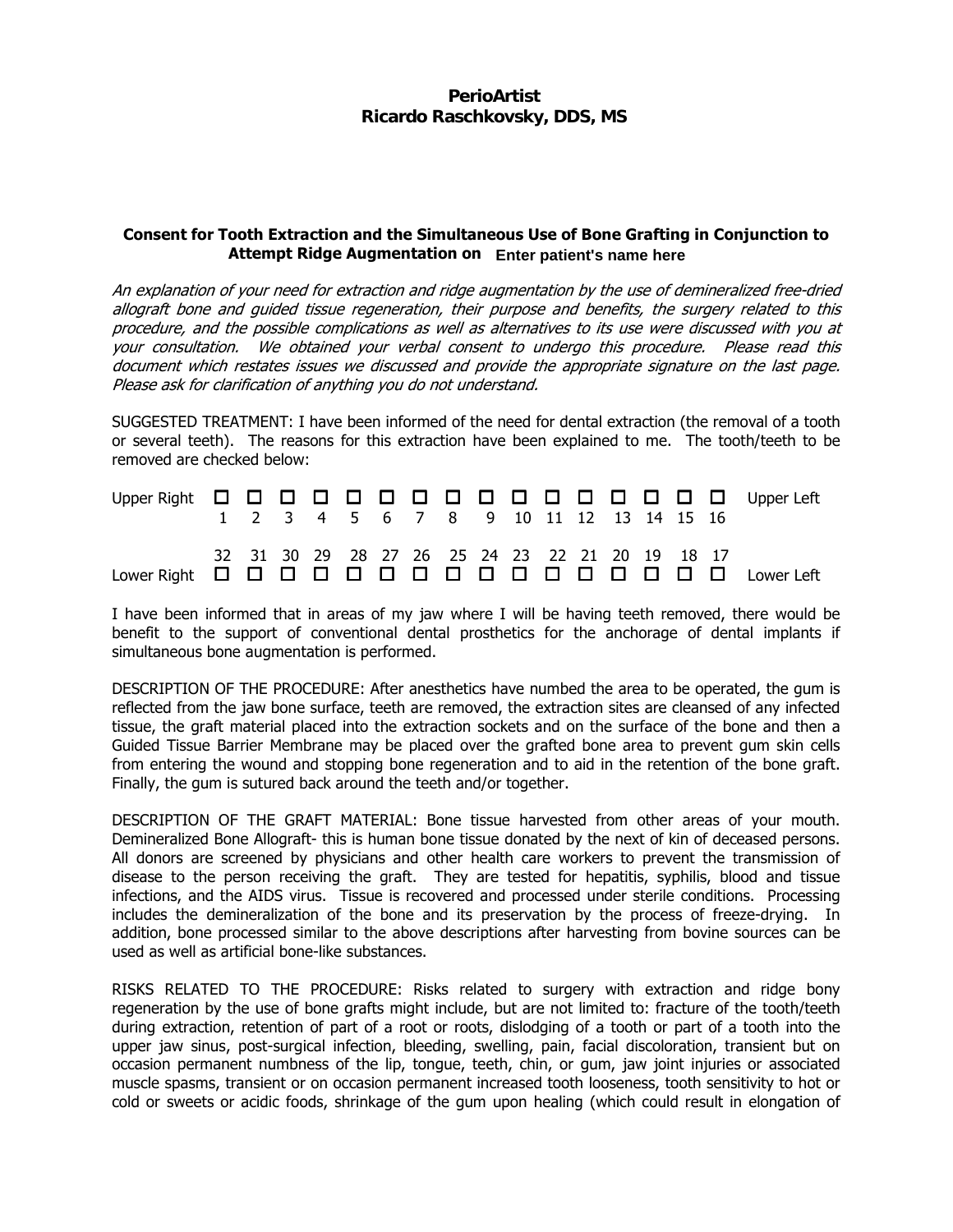## **PerioArtist Ricardo Raschkovsky, DDS, MS**

## Consent for Tooth Extraction and the Simultaneous Use of Bone Grafting in Conjunction to Attempt Ridge Augmentation on **Enter patient's name here**

An explanation of your need for extraction and ridge augmentation by the use of demineralized free-dried allograft bone and guided tissue regeneration, their purpose and benefits, the surgery related to this procedure, and the possible complications as well as alternatives to its use were discussed with you at your consultation. We obtained your verbal consent to undergo this procedure. Please read this document which restates issues we discussed and provide the appropriate signature on the last page. Please ask for clarification of anything you do not understand.

SUGGESTED TREATMENT: I have been informed of the need for dental extraction (the removal of a tooth or several teeth). The reasons for this extraction have been explained to me. The tooth/teeth to be removed are checked below:

| Upper Right ロロロロロロロロロロロロロロロ Upper Left |  |  | 1 2 3 4 5 6 7 8 9 10 11 12 13 14 15 16                         |  |  |  |  |  |  |
|----------------------------------------|--|--|----------------------------------------------------------------|--|--|--|--|--|--|
| Lower Right ロロロロロロロロロロロロロロ Lower Left  |  |  | 32  31  30  29  28  27  26  25  24  23  22  21  20  19  18  17 |  |  |  |  |  |  |

I have been informed that in areas of my jaw where I will be having teeth removed, there would be benefit to the support of conventional dental prosthetics for the anchorage of dental implants if simultaneous bone augmentation is performed.

DESCRIPTION OF THE PROCEDURE: After anesthetics have numbed the area to be operated, the gum is reflected from the jaw bone surface, teeth are removed, the extraction sites are cleansed of any infected tissue, the graft material placed into the extraction sockets and on the surface of the bone and then a Guided Tissue Barrier Membrane may be placed over the grafted bone area to prevent gum skin cells from entering the wound and stopping bone regeneration and to aid in the retention of the bone graft. Finally, the gum is sutured back around the teeth and/or together.

DESCRIPTION OF THE GRAFT MATERIAL: Bone tissue harvested from other areas of your mouth. Demineralized Bone Allograft- this is human bone tissue donated by the next of kin of deceased persons. All donors are screened by physicians and other health care workers to prevent the transmission of disease to the person receiving the graft. They are tested for hepatitis, syphilis, blood and tissue infections, and the AIDS virus. Tissue is recovered and processed under sterile conditions. Processing includes the demineralization of the bone and its preservation by the process of freeze-drying. In addition, bone processed similar to the above descriptions after harvesting from bovine sources can be used as well as artificial bone-like substances.

RISKS RELATED TO THE PROCEDURE: Risks related to surgery with extraction and ridge bony regeneration by the use of bone grafts might include, but are not limited to: fracture of the tooth/teeth during extraction, retention of part of a root or roots, dislodging of a tooth or part of a tooth into the upper jaw sinus, post-surgical infection, bleeding, swelling, pain, facial discoloration, transient but on occasion permanent numbness of the lip, tongue, teeth, chin, or gum, jaw joint injuries or associated muscle spasms, transient or on occasion permanent increased tooth looseness, tooth sensitivity to hot or cold or sweets or acidic foods, shrinkage of the gum upon healing (which could result in elongation of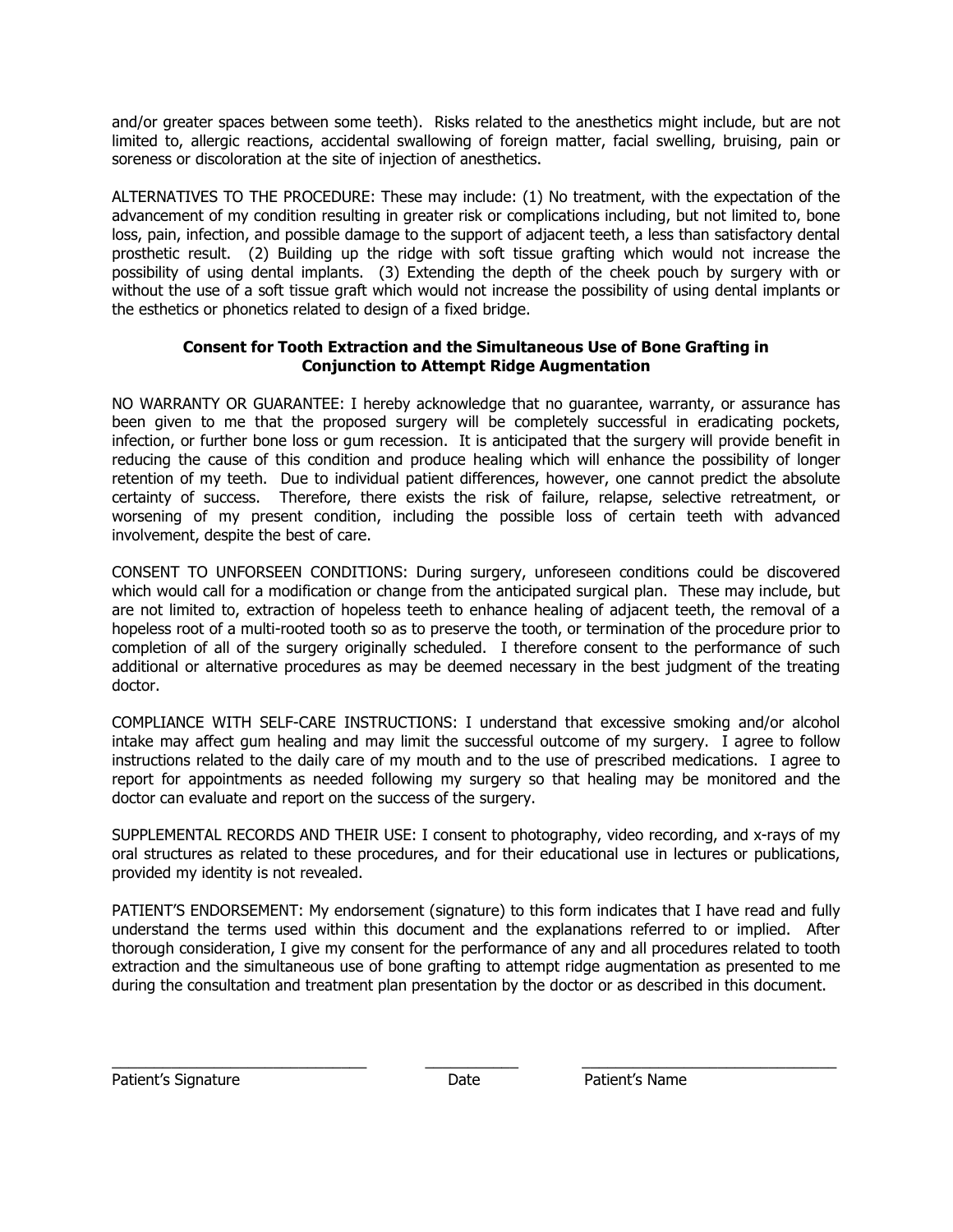and/or greater spaces between some teeth). Risks related to the anesthetics might include, but are not limited to, allergic reactions, accidental swallowing of foreign matter, facial swelling, bruising, pain or soreness or discoloration at the site of injection of anesthetics.

ALTERNATIVES TO THE PROCEDURE: These may include: (1) No treatment, with the expectation of the advancement of my condition resulting in greater risk or complications including, but not limited to, bone loss, pain, infection, and possible damage to the support of adjacent teeth, a less than satisfactory dental prosthetic result. (2) Building up the ridge with soft tissue grafting which would not increase the possibility of using dental implants. (3) Extending the depth of the cheek pouch by surgery with or without the use of a soft tissue graft which would not increase the possibility of using dental implants or the esthetics or phonetics related to design of a fixed bridge.

## Consent for Tooth Extraction and the Simultaneous Use of Bone Grafting in Conjunction to Attempt Ridge Augmentation

NO WARRANTY OR GUARANTEE: I hereby acknowledge that no guarantee, warranty, or assurance has been given to me that the proposed surgery will be completely successful in eradicating pockets, infection, or further bone loss or gum recession. It is anticipated that the surgery will provide benefit in reducing the cause of this condition and produce healing which will enhance the possibility of longer retention of my teeth. Due to individual patient differences, however, one cannot predict the absolute certainty of success. Therefore, there exists the risk of failure, relapse, selective retreatment, or worsening of my present condition, including the possible loss of certain teeth with advanced involvement, despite the best of care.

CONSENT TO UNFORSEEN CONDITIONS: During surgery, unforeseen conditions could be discovered which would call for a modification or change from the anticipated surgical plan. These may include, but are not limited to, extraction of hopeless teeth to enhance healing of adjacent teeth, the removal of a hopeless root of a multi-rooted tooth so as to preserve the tooth, or termination of the procedure prior to completion of all of the surgery originally scheduled. I therefore consent to the performance of such additional or alternative procedures as may be deemed necessary in the best judgment of the treating doctor.

COMPLIANCE WITH SELF-CARE INSTRUCTIONS: I understand that excessive smoking and/or alcohol intake may affect gum healing and may limit the successful outcome of my surgery. I agree to follow instructions related to the daily care of my mouth and to the use of prescribed medications. I agree to report for appointments as needed following my surgery so that healing may be monitored and the doctor can evaluate and report on the success of the surgery.

SUPPLEMENTAL RECORDS AND THEIR USE: I consent to photography, video recording, and x-rays of my oral structures as related to these procedures, and for their educational use in lectures or publications, provided my identity is not revealed.

PATIENT'S ENDORSEMENT: My endorsement (signature) to this form indicates that I have read and fully understand the terms used within this document and the explanations referred to or implied. After thorough consideration, I give my consent for the performance of any and all procedures related to tooth extraction and the simultaneous use of bone grafting to attempt ridge augmentation as presented to me during the consultation and treatment plan presentation by the doctor or as described in this document.